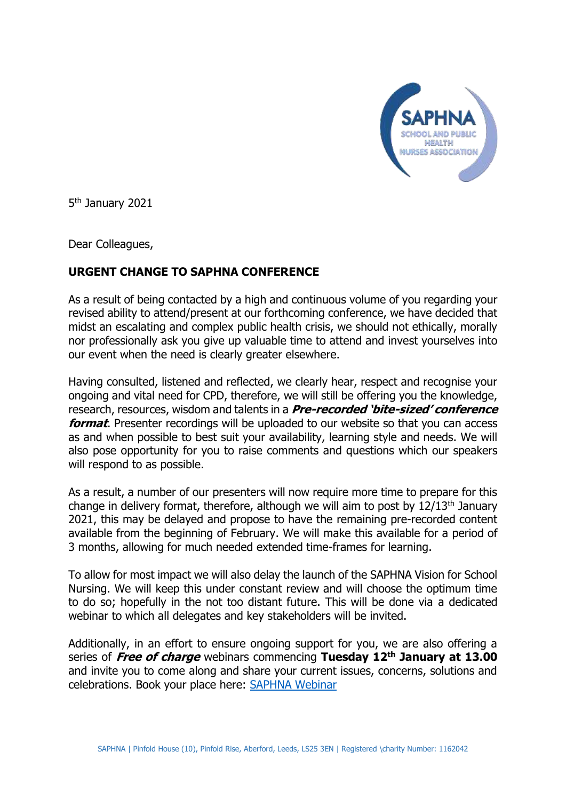

5<sup>th</sup> January 2021

Dear Colleagues,

## **URGENT CHANGE TO SAPHNA CONFERENCE**

As a result of being contacted by a high and continuous volume of you regarding your revised ability to attend/present at our forthcoming conference, we have decided that midst an escalating and complex public health crisis, we should not ethically, morally nor professionally ask you give up valuable time to attend and invest yourselves into our event when the need is clearly greater elsewhere.

Having consulted, listened and reflected, we clearly hear, respect and recognise your ongoing and vital need for CPD, therefore, we will still be offering you the knowledge, research, resources, wisdom and talents in a **Pre-recorded 'bite-sized' conference format**. Presenter recordings will be uploaded to our website so that you can access as and when possible to best suit your availability, learning style and needs. We will also pose opportunity for you to raise comments and questions which our speakers will respond to as possible.

As a result, a number of our presenters will now require more time to prepare for this change in delivery format, therefore, although we will aim to post by  $12/13<sup>th</sup>$  January 2021, this may be delayed and propose to have the remaining pre-recorded content available from the beginning of February. We will make this available for a period of 3 months, allowing for much needed extended time-frames for learning.

To allow for most impact we will also delay the launch of the SAPHNA Vision for School Nursing. We will keep this under constant review and will choose the optimum time to do so; hopefully in the not too distant future. This will be done via a dedicated webinar to which all delegates and key stakeholders will be invited.

Additionally, in an effort to ensure ongoing support for you, we are also offering a series of **Free of charge** webinars commencing **Tuesday 12th January at 13.00** and invite you to come along and share your current issues, concerns, solutions and celebrations. Book your place here: [SAPHNA Webinar](https://www.eventbrite.co.uk/e/saphna-webinar-connecting-during-turbulent-times-tickets-135536054989)